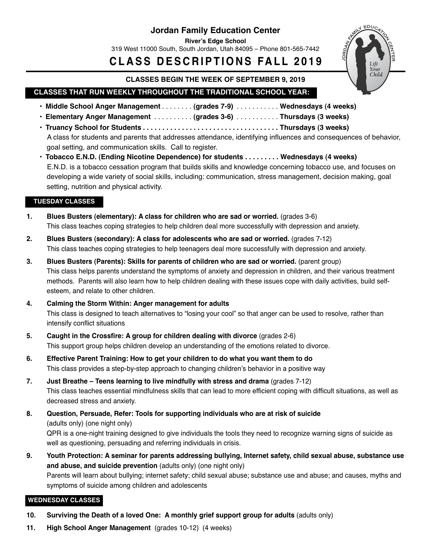## **Jordan Family Education Center**

**River's Edge School**

319 West 11000 South, South Jordan, Utah 84095 – Phone 801-565-7442

# **C L A S S D E S C R IP T I O N S FA L L 2 0 1 9**



#### **CLASSES BEGIN THE WEEK OF SEPTEMBER 9, 2019**

## **CLASSES THAT RUN WEEKLY THROUGHOUT THE TRADITIONAL SCHOOL YEAR:**

- **• Middle School Anger Management** . . . . . . . . **(grades 7-9)** . . . . . . . . . . . **Wednesdays (4 weeks)**
- **• Elementary Anger Management** . . . . . . . . . . **(grades 3-6)** . . . . . . . . . . . **Thursdays (3 weeks)**
- **• Truancy School for Students . . . . . . . . . . . . . . . . . . . . . . . . . . . . . . . . . . . Thursdays (3 weeks)** A class for students and parents that addresses attendance, identifying influences and consequences of behavior, goal setting, and communication skills. Call to register.
- · Tobacco E.N.D. (Ending Nicotine Dependence) for students . . . . . . . . . Wednesdays (4 weeks) E.N.D. is a tobacco cessation program that builds skills and knowledge concerning tobacco use, and focuses on developing a wide variety of social skills, including: communication, stress management, decision making, goal setting, nutrition and physical activity.

#### **TUESDAY CLASSES**

- **1. Blues Busters (elementary): A class for children who are sad or worried.** (grades 3-6) This class teaches coping strategies to help children deal more successfully with depression and anxiety.
- **2. Blues Busters (secondary): A class for adolescents who are sad or worried.** (grades 7-12) This class teaches coping strategies to help teenagers deal more successfully with depression and anxiety.
- **3. Blues Busters (Parents): Skills for parents of children who are sad or worried.** (parent group) This class helps parents understand the symptoms of anxiety and depression in children, and their various treatment methods. Parents will also learn how to help children dealing with these issues cope with daily activities, build selfesteem, and relate to other children.
- **4. Calming the Storm Within: Anger management for adults** This class is designed to teach alternatives to "losing your cool" so that anger can be used to resolve, rather than intensify conflict situations
- **5. Caught in the Crossfire: A group for children dealing with divorce** (grades 2-6) This support group helps children develop an understanding of the emotions related to divorce.
- **6. Effective Parent Training: How to get your children to do what you want them to do** This class provides a step-by-step approach to changing children's behavior in a positive way
- **7. Just Breathe – Teens learning to live mindfully with stress and drama** (grades 7-12) This class teaches essential mindfulness skills that can lead to more efficient coping with difficult situations, as well as decreased stress and anxiety.
- **8. Question, Persuade, Refer: Tools for supporting individuals who are at risk of suicide** (adults only) (one night only)

 QPR is a one-night training designed to give individuals the tools they need to recognize warning signs of suicide as well as questioning, persuading and referring individuals in crisis.

9. Youth Protection: A seminar for parents addressing bullying, Internet safety, child sexual abuse, substance use **and abuse, and suicide prevention** (adults only) (one night only) Parents will learn about bullying; internet safety; child sexual abuse; substance use and abuse; and causes, myths and symptoms of suicide among children and adolescents

### **WEDNESDAY CLASSES**

- **10. Surviving the Death of a loved One: A monthly grief support group for adults** (adults only)
- **11. High School Anger Management** (grades 10-12) (4 weeks)